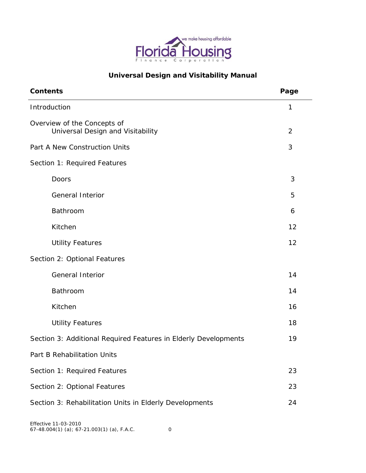

# **Universal Design and Visitability Manual**

| <b>Contents</b>                                                  | Page           |
|------------------------------------------------------------------|----------------|
| Introduction                                                     | 1              |
| Overview of the Concepts of<br>Universal Design and Visitability | $\overline{2}$ |
| Part A New Construction Units                                    | 3              |
| Section 1: Required Features                                     |                |
| Doors                                                            | 3              |
| <b>General Interior</b>                                          | 5              |
| Bathroom                                                         | 6              |
| Kitchen                                                          | 12             |
| <b>Utility Features</b>                                          | 12             |
| Section 2: Optional Features                                     |                |
| <b>General Interior</b>                                          | 14             |
| Bathroom                                                         | 14             |
| Kitchen                                                          | 16             |
| <b>Utility Features</b>                                          | 18             |
| Section 3: Additional Required Features in Elderly Developments  | 19             |
| Part B Rehabilitation Units                                      |                |
| Section 1: Required Features                                     | 23             |
| Section 2: Optional Features                                     | 23             |
| Section 3: Rehabilitation Units in Elderly Developments          | 24             |
|                                                                  |                |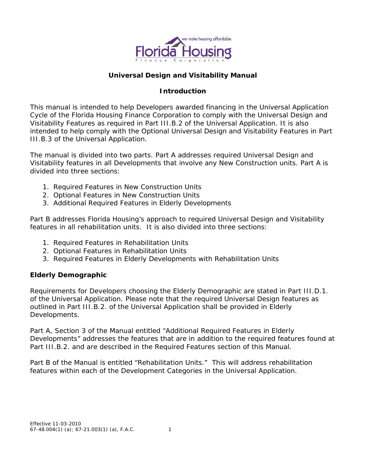

# **Universal Design and Visitability Manual**

## **Introduction**

This manual is intended to help Developers awarded financing in the Universal Application Cycle of the Florida Housing Finance Corporation to comply with the Universal Design and Visitability Features as required in Part III.B.2 of the Universal Application. It is also intended to help comply with the Optional Universal Design and Visitability Features in Part III.B.3 of the Universal Application.

The manual is divided into two parts. Part A addresses required Universal Design and Visitability features in all Developments that involve any New Construction units. Part A is divided into three sections:

- 1. Required Features in New Construction Units
- 2. Optional Features in New Construction Units
- 3. Additional Required Features in Elderly Developments

Part B addresses Florida Housing's approach to required Universal Design and Visitability features in all rehabilitation units. It is also divided into three sections:

- 1. Required Features in Rehabilitation Units
- 2. Optional Features in Rehabilitation Units
- 3. Required Features in Elderly Developments with Rehabilitation Units

## **Elderly Demographic**

Requirements for Developers choosing the Elderly Demographic are stated in Part III.D.1. of the Universal Application. Please note that the required Universal Design features as outlined in Part III.B.2. of the Universal Application shall be provided in Elderly Developments.

Part A, Section 3 of the Manual entitled "Additional Required Features in Elderly Developments" addresses the features that are in addition to the required features found at Part III.B.2. and are described in the Required Features section of this Manual.

Part B of the Manual is entitled "Rehabilitation Units." This will address rehabilitation features within each of the Development Categories in the Universal Application.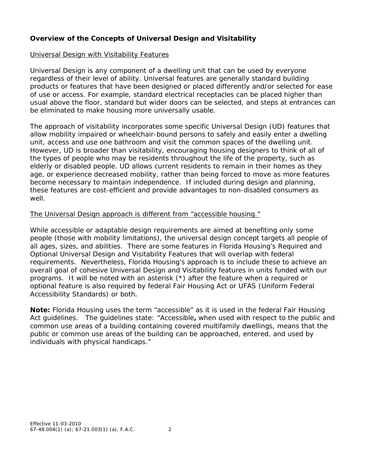# **Overview of the Concepts of Universal Design and Visitability**

#### Universal Design with Visitability Features

Universal Design is any component of a dwelling unit that can be used by everyone regardless of their level of ability. Universal features are generally standard building products or features that have been designed or placed differently and/or selected for ease of use or access. For example, standard electrical receptacles can be placed higher than usual above the floor, standard but wider doors can be selected, and steps at entrances can be eliminated to make housing more universally usable.

The approach of visitability incorporates some specific Universal Design (UD) features that allow mobility impaired or wheelchair-bound persons to safely and easily enter a dwelling unit, access and use one bathroom and visit the common spaces of the dwelling unit. However, UD is broader than visitability, encouraging housing designers to think of all of the types of people who may be residents throughout the life of the property, such as elderly or disabled people. UD allows current residents to remain in their homes as they age, or experience decreased mobility, rather than being forced to move as more features become necessary to maintain independence. If included during design and planning, these features are cost-efficient and provide advantages to non-disabled consumers as well.

## *The Universal Design approach is different from "accessible housing."*

While accessible or adaptable design requirements are aimed at benefiting only some people (those with mobility limitations), the universal design concept targets all people of all ages, sizes, and abilities. There are some features in Florida Housing's Required and Optional Universal Design and Visitability Features that will overlap with federal requirements. Nevertheless, Florida Housing's approach is to include these to achieve an overall goal of cohesive Universal Design and Visitability features in units funded with our programs. It will be noted with an asterisk (\*) after the feature when a required or optional feature is also required by federal Fair Housing Act or UFAS (Uniform Federal Accessibility Standards) or both.

**Note:** Florida Housing uses the term "accessible" as it is used in the federal Fair Housing Act guidelines. The guidelines state: "Accessible**,** when used with respect to the public and common use areas of a building containing covered multifamily dwellings, means that the public or common use areas of the building can be approached, entered, and used by individuals with physical handicaps."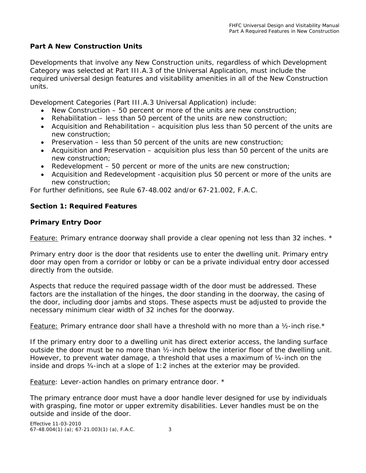### **Part A New Construction Units**

Developments that involve any New Construction units, regardless of which Development Category was selected at Part III.A.3 of the Universal Application, must include the required universal design features and visitability amenities in all of the New Construction units.

Development Categories (Part III.A.3 Universal Application) include:

- New Construction 50 percent or more of the units are new construction;
- Rehabilitation less than 50 percent of the units are new construction;
- Acquisition and Rehabilitation acquisition plus less than 50 percent of the units are new construction;
- Preservation less than 50 percent of the units are new construction;
- Acquisition and Preservation acquisition plus less than 50 percent of the units are new construction;
- Redevelopment 50 percent or more of the units are new construction;
- Acquisition and Redevelopment -acquisition plus 50 percent or more of the units are new construction;

For further definitions, see Rule 67-48.002 and/or 67-21.002, F.A.C.

### **Section 1: Required Features**

### **Primary Entry Door**

*Feature: Primary entrance doorway shall provide a clear opening not less than 32 inches. \**

Primary entry door is the door that residents use to enter the dwelling unit. Primary entry door may open from a corridor or lobby or can be a private individual entry door accessed directly from the outside.

Aspects that reduce the required passage width of the door must be addressed. These factors are the installation of the hinges, the door standing in the doorway, the casing of the door, including door jambs and stops. These aspects must be adjusted to provide the necessary minimum clear width of 32 inches for the doorway.

*Feature: Primary entrance door shall have a threshold with no more than a ½-inch rise.\**

If the primary entry door to a dwelling unit has direct exterior access, the landing surface outside the door must be no more than ½-inch below the interior floor of the dwelling unit. However, to prevent water damage, a threshold that uses a maximum of 1/4-inch on the inside and drops ¾-inch at a slope of 1:2 inches at the exterior may be provided.

*Feature: Lever-action handles on primary entrance door. \** 

The primary entrance door must have a door handle lever designed for use by individuals with grasping, fine motor or upper extremity disabilities. Lever handles must be on the outside and inside of the door.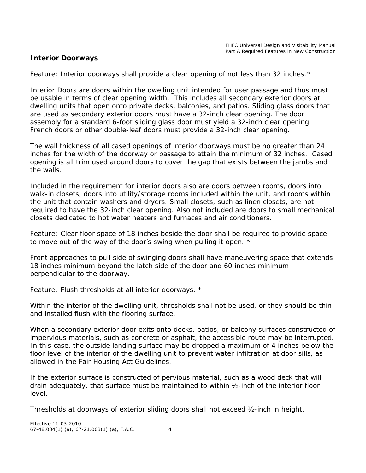#### **Interior Doorways**

#### *Feature: Interior doorways shall provide a clear opening of not less than 32 inches.\**

Interior Doors are doors within the dwelling unit intended for user passage and thus must be usable in terms of clear opening width. This includes all secondary exterior doors at dwelling units that open onto private decks, balconies, and patios. Sliding glass doors that are used as secondary exterior doors must have a 32-inch clear opening. The door assembly for a standard 6-foot sliding glass door must yield a 32-inch clear opening. French doors or other double-leaf doors must provide a 32-inch clear opening.

The wall thickness of all cased openings of interior doorways must be no greater than 24 inches for the width of the doorway or passage to attain the minimum of 32 inches. Cased opening is all trim used around doors to cover the gap that exists between the jambs and the walls.

Included in the requirement for interior doors also are doors between rooms, doors into walk-in closets, doors into utility/storage rooms included within the unit, and rooms within the unit that contain washers and dryers. Small closets, such as linen closets, are not required to have the 32-inch clear opening. Also not included are doors to small mechanical closets dedicated to hot water heaters and furnaces and air conditioners.

### *Feature: Clear floor space of 18 inches beside the door shall be required to provide space to move out of the way of the door's swing when pulling it open. \**

Front approaches to pull side of swinging doors shall have maneuvering space that extends 18 inches minimum beyond the latch side of the door and 60 inches minimum perpendicular to the doorway.

*Feature: Flush thresholds at all interior doorways. \**

Within the interior of the dwelling unit, thresholds shall not be used, or they should be thin and installed flush with the flooring surface.

When a secondary exterior door exits onto decks, patios, or balcony surfaces constructed of impervious materials, such as concrete or asphalt, the accessible route may be interrupted. In this case, the outside landing surface may be dropped a maximum of 4 inches below the floor level of the interior of the dwelling unit to prevent water infiltration at door sills, as allowed in the Fair Housing Act Guidelines.

If the exterior surface is constructed of pervious material, such as a wood deck that will drain adequately, that surface must be maintained to within ½-inch of the interior floor level.

Thresholds at doorways of exterior sliding doors shall not exceed ½-inch in height.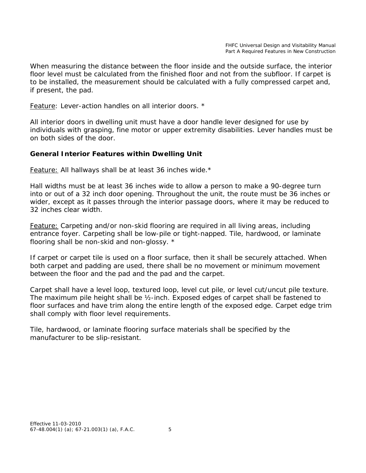When measuring the distance between the floor inside and the outside surface, the interior floor level must be calculated from the finished floor and not from the subfloor. If carpet is to be installed, the measurement should be calculated with a fully compressed carpet and, if present, the pad.

#### *Feature: Lever-action handles on all interior doors. \**

All interior doors in dwelling unit must have a door handle lever designed for use by individuals with grasping, fine motor or upper extremity disabilities. Lever handles must be on both sides of the door.

## **General Interior Features within Dwelling Unit**

*Feature: All hallways shall be at least 36 inches wide.\**

Hall widths must be at least 36 inches wide to allow a person to make a 90-degree turn into or out of a 32 inch door opening. Throughout the unit, the route must be 36 inches or wider, except as it passes through the interior passage doors, where it may be reduced to 32 inches clear width.

*Feature: Carpeting and/or non-skid flooring are required in all living areas, including entrance foyer. Carpeting shall be low-pile or tight-napped. Tile, hardwood, or laminate flooring shall be non-skid and non-glossy. \**

If carpet or carpet tile is used on a floor surface, then it shall be securely attached. When both carpet and padding are used, there shall be no movement or minimum movement between the floor and the pad and the pad and the carpet.

Carpet shall have a level loop, textured loop, level cut pile, or level cut/uncut pile texture. The maximum pile height shall be ½-inch. Exposed edges of carpet shall be fastened to floor surfaces and have trim along the entire length of the exposed edge. Carpet edge trim shall comply with floor level requirements.

Tile, hardwood, or laminate flooring surface materials shall be specified by the manufacturer to be slip-resistant.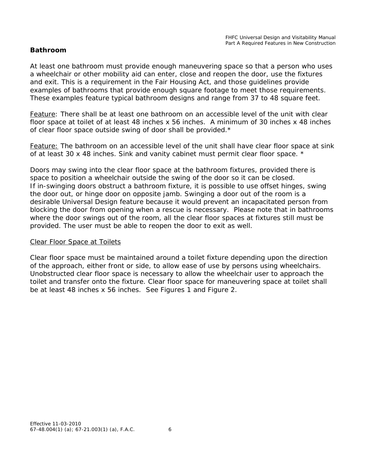### **Bathroom**

At least one bathroom must provide enough maneuvering space so that a person who uses a wheelchair or other mobility aid can enter, close and reopen the door, use the fixtures and exit. This is a requirement in the Fair Housing Act, and those guidelines provide examples of bathrooms that provide enough square footage to meet those requirements. These examples feature typical bathroom designs and range from 37 to 48 square feet.

*Feature: There shall be at least one bathroom on an accessible level of the unit with clear floor space at toilet of at least 48 inches x 56 inches. A minimum of 30 inches x 48 inches of clear floor space outside swing of door shall be provided.\** 

*Feature: The bathroom on an accessible level of the unit shall have clear floor space at sink of at least 30 x 48 inches. Sink and vanity cabinet must permit clear floor space. \**

Doors may swing into the clear floor space at the bathroom fixtures, provided there is space to position a wheelchair outside the swing of the door so it can be closed. If in-swinging doors obstruct a bathroom fixture, it is possible to use offset hinges, swing the door out, or hinge door on opposite jamb. Swinging a door out of the room is a desirable Universal Design feature because it would prevent an incapacitated person from blocking the door from opening when a rescue is necessary. Please note that in bathrooms where the door swings out of the room, all the clear floor spaces at fixtures still must be provided. The user must be able to reopen the door to exit as well.

#### *Clear Floor Space at Toilets*

Clear floor space must be maintained around a toilet fixture depending upon the direction of the approach, either front or side, to allow ease of use by persons using wheelchairs. Unobstructed clear floor space is necessary to allow the wheelchair user to approach the toilet and transfer onto the fixture. Clear floor space for maneuvering space at toilet shall be at least 48 inches x 56 inches. See Figures 1 and Figure 2.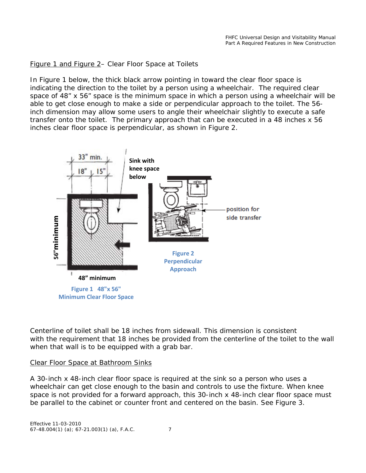#### Figure 1 and Figure 2– Clear Floor Space at Toilets

In Figure 1 below, the thick black arrow pointing in toward the clear floor space is indicating the direction to the toilet by a person using a wheelchair. The required clear space of 48" x 56" space is the minimum space in which a person using a wheelchair will be able to get close enough to make a side or perpendicular approach to the toilet. The 56 inch dimension may allow some users to angle their wheelchair slightly to execute a safe transfer onto the toilet. The primary approach that can be executed in a 48 inches x 56 inches clear floor space is perpendicular, as shown in Figure 2.



Centerline of toilet shall be 18 inches from sidewall. This dimension is consistent with the requirement that 18 inches be provided from the centerline of the toilet to the wall when that wall is to be equipped with a grab bar.

#### *Clear Floor Space at Bathroom Sinks*

A 30-inch x 48-inch clear floor space is required at the sink so a person who uses a wheelchair can get close enough to the basin and controls to use the fixture. When knee space is not provided for a forward approach, this 30-inch x 48-inch clear floor space must

Effective 11-03-2010 67-48.004(1) (a); 67-21.003(1) (a), F.A.C. 7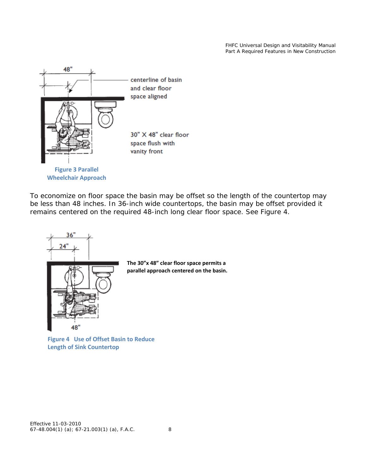FHFC Universal Design and Visitability Manual Part A Required Features in New Construction



To economize on floor space the basin may be offset so the length of the countertop may be less than 48 inches. In 36-inch wide countertops, the basin may be offset provided it remains centered on the required 48-inch long clear floor space. See Figure 4.



**Figure 4 Use of Offset Basin to Reduce Length of Sink Countertop**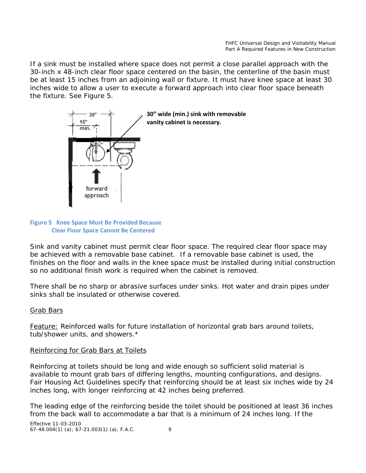If a sink must be installed where space does not permit a close parallel approach with the 30-inch x 48-inch clear floor space centered on the basin, the centerline of the basin must be at least 15 inches from an adjoining wall or fixture. It must have knee space at least 30 inches wide to allow a user to execute a forward approach into clear floor space beneath the fixture. See Figure 5.



#### **Figure 5 Knee Space Must Be Provided Because Clear Floor Space Cannot Be Centered**

Sink and vanity cabinet must permit clear floor space. The required clear floor space may be achieved with a removable base cabinet. If a removable base cabinet is used, the finishes on the floor and walls in the knee space must be installed during initial construction so no additional finish work is required when the cabinet is removed.

There shall be no sharp or abrasive surfaces under sinks. Hot water and drain pipes under sinks shall be insulated or otherwise covered.

## Grab Bars

*Feature: Reinforced walls for future installation of horizontal grab bars around toilets, tub/shower units, and showers*.\*

## *Reinforcing for Grab Bars at Toilets*

Reinforcing at toilets should be long and wide enough so sufficient solid material is available to mount grab bars of differing lengths, mounting configurations, and designs. Fair Housing Act Guidelines specify that reinforcing should be at least six inches wide by 24 inches long, with longer reinforcing at 42 inches being preferred.

The leading edge of the reinforcing beside the toilet should be positioned at least 36 inches from the back wall to accommodate a bar that is a minimum of 24 inches long. If the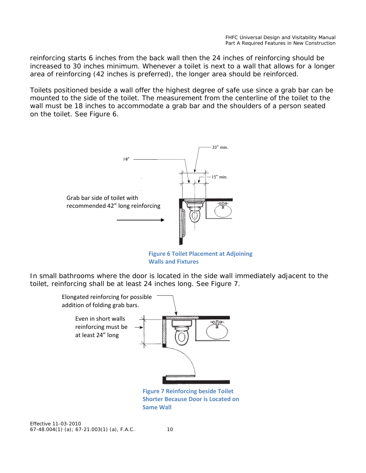reinforcing starts 6 inches from the back wall then the 24 inches of reinforcing should be increased to 30 inches minimum. Whenever a toilet is next to a wall that allows for a longer area of reinforcing (42 inches is preferred), the longer area should be reinforced.

Toilets positioned beside a wall offer the highest degree of safe use since a grab bar can be mounted to the side of the toilet. The measurement from the centerline of the toilet to the wall must be 18 inches to accommodate a grab bar and the shoulders of a person seated on the toilet. See Figure 6.



**Figure 6 Toilet Placement at Adjoining Walls and Fixtures**

In small bathrooms where the door is located in the side wall immediately adjacent to the toilet, reinforcing shall be at least 24 inches long. See Figure 7.



**Figure 7 Reinforcing beside Toilet Shorter Because Door is Located on Same Wall**

Effective 11-03-2010 67-48.004(1) (a); 67-21.003(1) (a), F.A.C. 10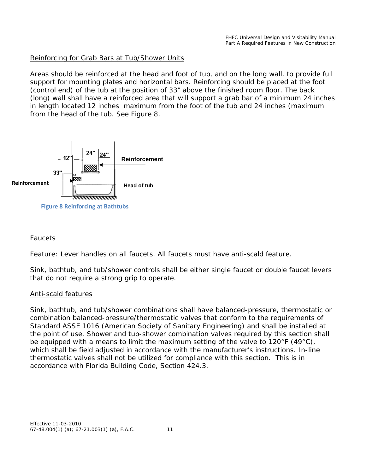### *Reinforcing for Grab Bars at Tub/Shower Units*

Areas should be reinforced at the head and foot of tub, and on the long wall, to provide full support for mounting plates and horizontal bars. Reinforcing should be placed at the foot (control end) of the tub at the position of 33" above the finished room floor. The back (long) wall shall have a reinforced area that will support a grab bar of a minimum 24 inches in length located 12 inches maximum from the foot of the tub and 24 inches (maximum from the head of the tub. See Figure 8.



#### *Faucets*

*Feature: Lever handles on all faucets. All faucets must have anti-scald feature.*

Sink, bathtub, and tub/shower controls shall be either single faucet or double faucet levers that do not require a strong grip to operate.

#### *Anti-scald features*

Sink, bathtub, and tub/shower combinations shall have balanced-pressure, thermostatic or combination balanced-pressure/thermostatic valves that conform to the requirements of Standard ASSE 1016 (American Society of Sanitary Engineering) and shall be installed at the point of use. Shower and tub-shower combination valves required by this section shall be equipped with a means to limit the maximum setting of the valve to 120°F (49°C), which shall be field adjusted in accordance with the manufacturer's instructions. In-line thermostatic valves shall not be utilized for compliance with this section. This is in accordance with Florida Building Code, Section 424.3.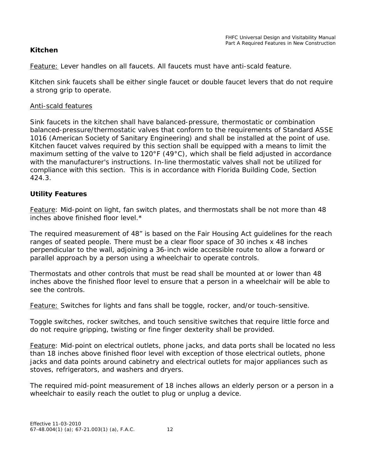### **Kitchen**

*Feature: Lever handles on all faucets. All faucets must have anti-scald feature.*

Kitchen sink faucets shall be either single faucet or double faucet levers that do not require a strong grip to operate.

#### *Anti-scald features*

Sink faucets in the kitchen shall have balanced-pressure, thermostatic or combination balanced-pressure/thermostatic valves that conform to the requirements of Standard ASSE 1016 (American Society of Sanitary Engineering) and shall be installed at the point of use. Kitchen faucet valves required by this section shall be equipped with a means to limit the maximum setting of the valve to 120°F (49°C), which shall be field adjusted in accordance with the manufacturer's instructions. In-line thermostatic valves shall not be utilized for compliance with this section. This is in accordance with Florida Building Code, Section 424.3.

## **Utility Features**

*Feature: Mid-point on light, fan switch plates, and thermostats shall be not more than 48 inches above finished floor level.\**

The required measurement of 48" is based on the Fair Housing Act guidelines for the reach ranges of seated people. There must be a clear floor space of 30 inches x 48 inches perpendicular to the wall, adjoining a 36-inch wide accessible route to allow a forward or parallel approach by a person using a wheelchair to operate controls.

Thermostats and other controls that must be read shall be mounted at or lower than 48 inches above the finished floor level to ensure that a person in a wheelchair will be able to see the controls.

*Feature: Switches for lights and fans shall be toggle, rocker, and/or touch-sensitive.* 

Toggle switches, rocker switches, and touch sensitive switches that require little force and do not require gripping, twisting or fine finger dexterity shall be provided.

*Feature: Mid-point on electrical outlets, phone jacks, and data ports shall be located no less than 18 inches above finished floor level with exception of those electrical outlets, phone jacks and data points around cabinetry and electrical outlets for major appliances such as stoves, refrigerators, and washers and dryers.*

The required mid-point measurement of 18 inches allows an elderly person or a person in a wheelchair to easily reach the outlet to plug or unplug a device.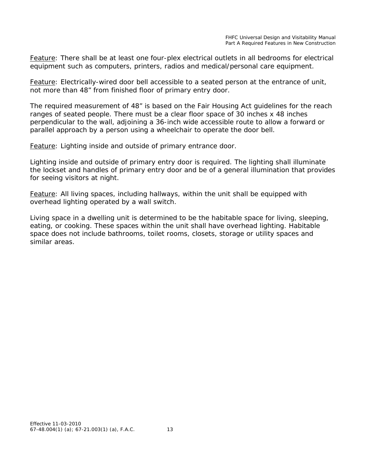*Feature: There shall be at least one four-plex electrical outlets in all bedrooms for electrical equipment such as computers, printers, radios and medical/personal care equipment.*

*Feature: Electrically-wired door bell accessible to a seated person at the entrance of unit, not more than 48" from finished floor of primary entry door.* 

The required measurement of 48" is based on the Fair Housing Act guidelines for the reach ranges of seated people. There must be a clear floor space of 30 inches x 48 inches perpendicular to the wall, adjoining a 36-inch wide accessible route to allow a forward or parallel approach by a person using a wheelchair to operate the door bell.

#### *Feature: Lighting inside and outside of primary entrance door.*

Lighting inside and outside of primary entry door is required. The lighting shall illuminate the lockset and handles of primary entry door and be of a general illumination that provides for seeing visitors at night.

*Feature: All living spaces, including hallways, within the unit shall be equipped with overhead lighting operated by a wall switch.*

Living space in a dwelling unit is determined to be the habitable space for living, sleeping, eating, or cooking. These spaces within the unit shall have overhead lighting. Habitable space does not include bathrooms, toilet rooms, closets, storage or utility spaces and similar areas.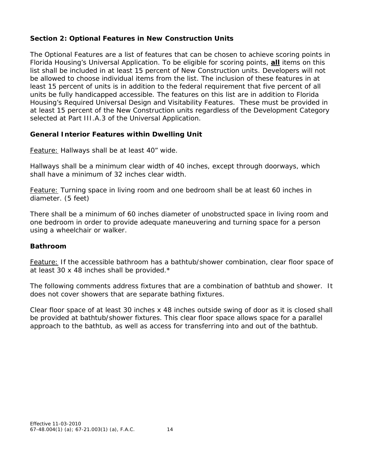## **Section 2: Optional Features in New Construction Units**

The Optional Features are a list of features that can be chosen to achieve scoring points in Florida Housing's Universal Application. To be eligible for scoring points, **all** items on this list shall be included in at least 15 percent of New Construction units. Developers will not be allowed to choose individual items from the list. The inclusion of these features in at least 15 percent of units is in addition to the federal requirement that five percent of all units be fully handicapped accessible. The features on this list are in addition to Florida Housing's Required Universal Design and Visitability Features. These must be provided in at least 15 percent of the New Construction units regardless of the Development Category selected at Part III.A.3 of the Universal Application.

# **General Interior Features within Dwelling Unit**

## *Feature: Hallways shall be at least 40" wide.*

Hallways shall be a minimum clear width of 40 inches, except through doorways, which shall have a minimum of 32 inches clear width.

*Feature: Turning space in living room and one bedroom shall be at least 60 inches in diameter. (5 feet)* 

There shall be a minimum of 60 inches diameter of unobstructed space in living room and one bedroom in order to provide adequate maneuvering and turning space for a person using a wheelchair or walker.

## **Bathroom**

*Feature: If the accessible bathroom has a bathtub/shower combination, clear floor space of at least 30 x 48 inches shall be provided.\**

The following comments address fixtures that are a combination of bathtub and shower. It does not cover showers that are separate bathing fixtures.

Clear floor space of at least 30 inches x 48 inches outside swing of door as it is closed shall be provided at bathtub/shower fixtures. This clear floor space allows space for a parallel approach to the bathtub, as well as access for transferring into and out of the bathtub.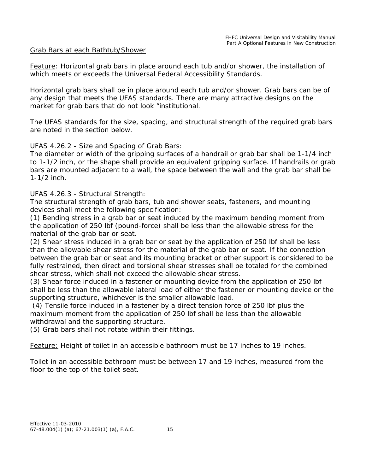#### Grab Bars at each Bathtub/Shower

*Feature: Horizontal grab bars in place around each tub and/or shower, the installation of which meets or exceeds the Universal Federal Accessibility Standards.* 

Horizontal grab bars shall be in place around each tub and/or shower. Grab bars can be of any design that meets the UFAS standards. There are many attractive designs on the market for grab bars that do not look "institutional.

The UFAS standards for the size, spacing, and structural strength of the required grab bars are noted in the section below.

#### UFAS 4.26.2 **-** Size and Spacing of Grab Bars:

The diameter or width of the gripping surfaces of a handrail or grab bar shall be 1-1/4 inch to 1-1/2 inch, or the shape shall provide an equivalent gripping surface. If handrails or grab bars are mounted adjacent to a wall, the space between the wall and the grab bar shall be 1-1/2 inch.

#### UFAS 4.26.3 - Structural Strength:

The structural strength of grab bars, tub and shower seats, fasteners, and mounting devices shall meet the following specification:

(1) Bending stress in a grab bar or seat induced by the maximum bending moment from the application of 250 lbf (pound-force) shall be less than the allowable stress for the material of the grab bar or seat.

(2) Shear stress induced in a grab bar or seat by the application of 250 lbf shall be less than the allowable shear stress for the material of the grab bar or seat. If the connection between the grab bar or seat and its mounting bracket or other support is considered to be fully restrained, then direct and torsional shear stresses shall be totaled for the combined shear stress, which shall not exceed the allowable shear stress.

(3) Shear force induced in a fastener or mounting device from the application of 250 lbf shall be less than the allowable lateral load of either the fastener or mounting device or the supporting structure, whichever is the smaller allowable load.

(4) Tensile force induced in a fastener by a direct tension force of 250 lbf plus the maximum moment from the application of 250 lbf shall be less than the allowable withdrawal and the supporting structure.

(5) Grab bars shall not rotate within their fittings*.*

*Feature: Height of toilet in an accessible bathroom must be 17 inches to 19 inches*.

Toilet in an accessible bathroom must be between 17 and 19 inches, measured from the floor to the top of the toilet seat.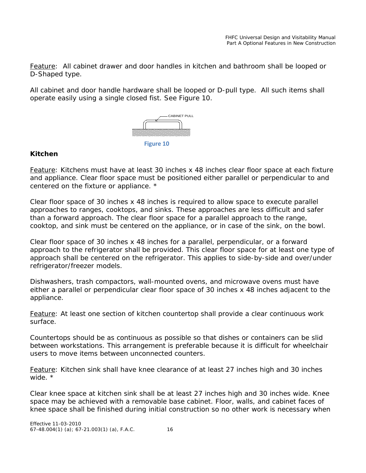*Feature: All cabinet drawer and door handles in kitchen and bathroom shall be looped or D-Shaped type.*

All cabinet and door handle hardware shall be looped or D-pull type. All such items shall operate easily using a single closed fist. See Figure 10.



### **Kitchen**

*Feature: Kitchens must have at least 30 inches x 48 inches clear floor space at each fixture and appliance. Clear floor space must be positioned either parallel or perpendicular to and centered on the fixture or appliance. \** 

Clear floor space of 30 inches x 48 inches is required to allow space to execute parallel approaches to ranges, cooktops, and sinks. These approaches are less difficult and safer than a forward approach. The clear floor space for a parallel approach to the range, cooktop, and sink must be centered on the appliance, or in case of the sink, on the bowl.

Clear floor space of 30 inches x 48 inches for a parallel, perpendicular, or a forward approach to the refrigerator shall be provided. This clear floor space for at least one type of approach shall be centered on the refrigerator. This applies to side-by-side and over/under refrigerator/freezer models.

Dishwashers, trash compactors, wall-mounted ovens, and microwave ovens must have either a parallel or perpendicular clear floor space of 30 inches x 48 inches adjacent to the appliance.

*Feature: At least one section of kitchen countertop shall provide a clear continuous work surface.* 

Countertops should be as continuous as possible so that dishes or containers can be slid between workstations. This arrangement is preferable because it is difficult for wheelchair users to move items between unconnected counters.

*Feature: Kitchen sink shall have knee clearance of at least 27 inches high and 30 inches wide. \**

Clear knee space at kitchen sink shall be at least 27 inches high and 30 inches wide. Knee space may be achieved with a removable base cabinet. Floor, walls, and cabinet faces of knee space shall be finished during initial construction so no other work is necessary when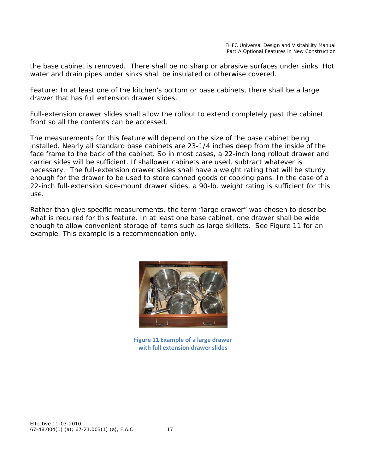the base cabinet is removed. There shall be no sharp or abrasive surfaces under sinks. Hot water and drain pipes under sinks shall be insulated or otherwise covered.

*Feature: In at least one of the kitchen's bottom or base cabinets, there shall be a large drawer that has full extension drawer slides.*

Full-extension drawer slides shall allow the rollout to extend completely past the cabinet front so all the contents can be accessed.

The measurements for this feature will depend on the size of the base cabinet being installed. Nearly all standard base cabinets are 23-1/4 inches deep from the inside of the face frame to the back of the cabinet. So in most cases, a 22-inch long rollout drawer and carrier sides will be sufficient. If shallower cabinets are used, subtract whatever is necessary. The full-extension drawer slides shall have a weight rating that will be sturdy enough for the drawer to be used to store canned goods or cooking pans. In the case of a 22-inch full-extension side-mount drawer slides, a 90-lb. weight rating is sufficient for this use.

Rather than give specific measurements, the term "large drawer" was chosen to describe what is required for this feature. In at least one base cabinet, one drawer shall be wide enough to allow convenient storage of items such as large skillets. See Figure 11 for an example. This example is a recommendation only.



**Figure 11 Example of a large drawer with full extension drawer slides**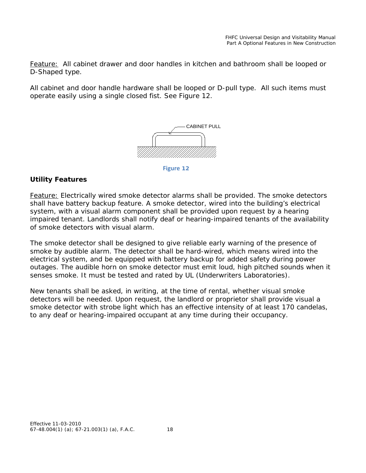*Feature: All cabinet drawer and door handles in kitchen and bathroom shall be looped or D-Shaped type.*

All cabinet and door handle hardware shall be looped or D-pull type. All such items must operate easily using a single closed fist. See Figure 12.



**Figure 12**

## **Utility Features**

*Feature: Electrically wired smoke detector alarms shall be provided. The smoke detectors shall have battery backup feature. A smoke detector, wired into the building's electrical*  system, with a visual alarm component shall be provided upon request by a hearing *impaired tenant. Landlords shall notify deaf or hearing-impaired tenants of the availability of smoke detectors with visual alarm.*

The smoke detector shall be designed to give reliable early warning of the presence of smoke by audible alarm. The detector shall be hard-wired, which means wired into the electrical system, and be equipped with battery backup for added safety during power outages. The audible horn on smoke detector must emit loud, high pitched sounds when it senses smoke. It must be tested and rated by UL (Underwriters Laboratories).

New tenants shall be asked, in writing, at the time of rental, whether visual smoke detectors will be needed. Upon request, the landlord or proprietor shall provide visual a smoke detector with strobe light which has an effective intensity of at least 170 candelas, to any deaf or hearing-impaired occupant at any time during their occupancy.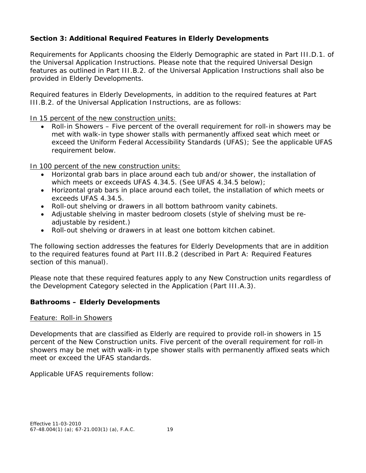# **Section 3: Additional Required Features in Elderly Developments**

Requirements for Applicants choosing the Elderly Demographic are stated in Part III.D.1. of the Universal Application Instructions. Please note that the required Universal Design features as outlined in Part III.B.2. of the Universal Application Instructions shall also be provided in Elderly Developments.

Required features in Elderly Developments, in addition to the required features at Part III.B.2. of the Universal Application Instructions, are as follows:

In 15 percent of the new construction units:

• Roll-in Showers – Five percent of the overall requirement for roll-in showers may be met with walk-in type shower stalls with permanently affixed seat which meet or exceed the Uniform Federal Accessibility Standards (UFAS); See the applicable UFAS requirement below.

In 100 percent of the new construction units:

- Horizontal grab bars in place around each tub and/or shower, the installation of which meets or exceeds UFAS 4.34.5. (See UFAS 4.34.5 below);
- Horizontal grab bars in place around each toilet, the installation of which meets or exceeds UFAS 4.34.5.
- Roll-out shelving or drawers in all bottom bathroom vanity cabinets.
- Adjustable shelving in master bedroom closets (style of shelving must be readjustable by resident.)
- Roll-out shelving or drawers in at least one bottom kitchen cabinet.

The following section addresses the features for Elderly Developments that are in addition to the required features found at Part III.B.2 (described in Part A: Required Features section of this manual).

Please note that these required features apply to any New Construction units regardless of the Development Category selected in the Application (Part III.A.3).

## **Bathrooms – Elderly Developments**

#### *Feature: Roll-in Showers*

Developments that are classified as Elderly are required to provide roll-in showers in 15 percent of the New Construction units. Five percent of the overall requirement for roll-in showers may be met with walk-in type shower stalls with permanently affixed seats which meet or exceed the UFAS standards.

Applicable UFAS requirements follow: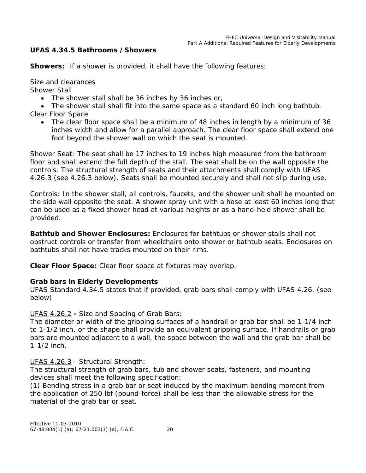### **UFAS 4.34.5 Bathrooms /Showers**

**Showers:** If a shower is provided, it shall have the following features:

Size and clearances

Shower Stall

• The shower stall shall be 36 inches by 36 inches or,

• The shower stall shall fit into the same space as a standard 60 inch long bathtub. Clear Floor Space

• The clear floor space shall be a minimum of 48 inches in length by a minimum of 36 inches width and allow for a parallel approach. The clear floor space shall extend one foot beyond the shower wall on which the seat is mounted.

Shower Seat: The seat shall be 17 inches to 19 inches high measured from the bathroom floor and shall extend the full depth of the stall. The seat shall be on the wall opposite the controls. The structural strength of seats and their attachments shall comply with UFAS 4.26.3 (see 4.26.3 below). Seats shall be mounted securely and shall not slip during use.

Controls: In the shower stall, all controls, faucets, and the shower unit shall be mounted on the side wall opposite the seat. A shower spray unit with a hose at least 60 inches long that can be used as a fixed shower head at various heights or as a hand-held shower shall be provided.

**Bathtub and Shower Enclosures:** Enclosures for bathtubs or shower stalls shall not obstruct controls or transfer from wheelchairs onto shower or bathtub seats. Enclosures on bathtubs shall not have tracks mounted on their rims.

**Clear Floor Space:** Clear floor space at fixtures may overlap.

#### **Grab bars in Elderly Developments**

UFAS Standard 4.34.5 states that if provided, grab bars shall comply with UFAS 4.26. (see below)

UFAS 4.26.2 **-** Size and Spacing of Grab Bars:

The diameter or width of the gripping surfaces of a handrail or grab bar shall be 1-1/4 inch to 1-1/2 inch, or the shape shall provide an equivalent gripping surface. If handrails or grab bars are mounted adjacent to a wall, the space between the wall and the grab bar shall be 1-1/2 inch.

UFAS 4.26.3 - Structural Strength:

The structural strength of grab bars, tub and shower seats, fasteners, and mounting devices shall meet the following specification:

(1) Bending stress in a grab bar or seat induced by the maximum bending moment from the application of 250 lbf (pound-force) shall be less than the allowable stress for the material of the grab bar or seat.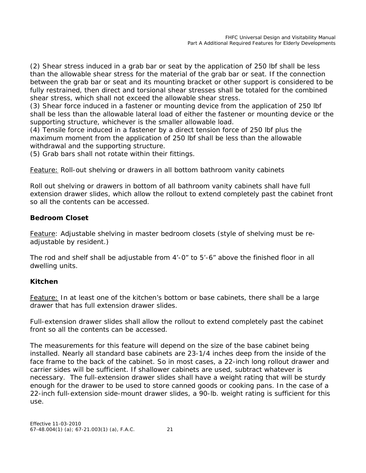(2) Shear stress induced in a grab bar or seat by the application of 250 lbf shall be less than the allowable shear stress for the material of the grab bar or seat. If the connection between the grab bar or seat and its mounting bracket or other support is considered to be fully restrained, then direct and torsional shear stresses shall be totaled for the combined shear stress, which shall not exceed the allowable shear stress.

(3) Shear force induced in a fastener or mounting device from the application of 250 lbf shall be less than the allowable lateral load of either the fastener or mounting device or the supporting structure, whichever is the smaller allowable load.

(4) Tensile force induced in a fastener by a direct tension force of 250 lbf plus the maximum moment from the application of 250 lbf shall be less than the allowable withdrawal and the supporting structure.

(5) Grab bars shall not rotate within their fittings*.*

*Feature: Roll-out shelving or drawers in all bottom bathroom vanity cabinets*

Roll out shelving or drawers in bottom of all bathroom vanity cabinets shall have full extension drawer slides, which allow the rollout to extend completely past the cabinet front so all the contents can be accessed.

### **Bedroom Closet**

*Feature: Adjustable shelving in master bedroom closets (style of shelving must be readjustable by resident.)*

The rod and shelf shall be adjustable from 4'-0" to 5'-6" above the finished floor in all dwelling units.

#### **Kitchen**

*Feature: In at least one of the kitchen's bottom or base cabinets, there shall be a large drawer that has full extension drawer slides.*

Full-extension drawer slides shall allow the rollout to extend completely past the cabinet front so all the contents can be accessed.

The measurements for this feature will depend on the size of the base cabinet being installed. Nearly all standard base cabinets are 23-1/4 inches deep from the inside of the face frame to the back of the cabinet. So in most cases, a 22-inch long rollout drawer and carrier sides will be sufficient. If shallower cabinets are used, subtract whatever is necessary. The full-extension drawer slides shall have a weight rating that will be sturdy enough for the drawer to be used to store canned goods or cooking pans. In the case of a 22-inch full-extension side-mount drawer slides, a 90-lb. weight rating is sufficient for this use.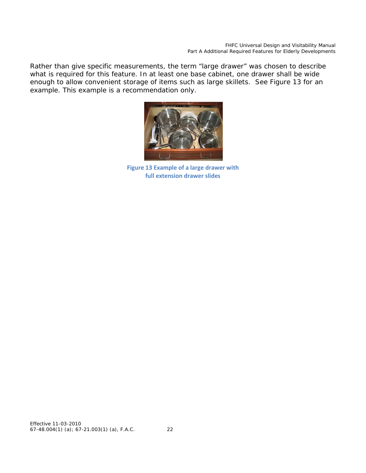Rather than give specific measurements, the term "large drawer" was chosen to describe what is required for this feature. In at least one base cabinet, one drawer shall be wide enough to allow convenient storage of items such as large skillets. See Figure 13 for an example. This example is a recommendation only.



**Figure 13 Example of a large drawer with full extension drawer slides**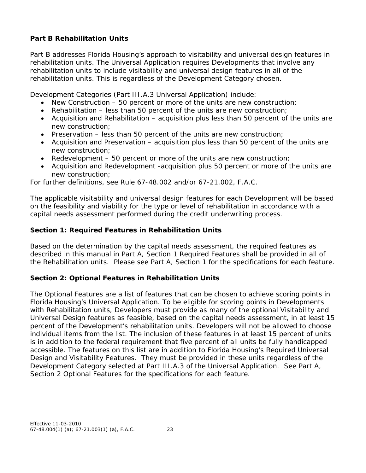# **Part B Rehabilitation Units**

Part B addresses Florida Housing's approach to visitability and universal design features in rehabilitation units. The Universal Application requires Developments that involve any rehabilitation units to include visitability and universal design features in all of the rehabilitation units. This is regardless of the Development Category chosen.

Development Categories (Part III.A.3 Universal Application) include:

- New Construction 50 percent or more of the units are new construction;
- Rehabilitation less than 50 percent of the units are new construction;
- Acquisition and Rehabilitation acquisition plus less than 50 percent of the units are new construction;
- Preservation  $-$  less than 50 percent of the units are new construction;
- Acquisition and Preservation acquisition plus less than 50 percent of the units are new construction;
- Redevelopment 50 percent or more of the units are new construction;
- Acquisition and Redevelopment -acquisition plus 50 percent or more of the units are new construction;

For further definitions, see Rule 67-48.002 and/or 67-21.002, F.A.C.

The applicable visitability and universal design features for each Development will be based on the feasibility and viability for the type or level of rehabilitation in accordance with a capital needs assessment performed during the credit underwriting process.

### **Section 1: Required Features in Rehabilitation Units**

Based on the determination by the capital needs assessment, the required features as described in this manual in Part A, Section 1 Required Features shall be provided in all of the Rehabilitation units. Please see Part A, Section 1 for the specifications for each feature.

## **Section 2: Optional Features in Rehabilitation Units**

The Optional Features are a list of features that can be chosen to achieve scoring points in Florida Housing's Universal Application. To be eligible for scoring points in Developments with Rehabilitation units, Developers must provide as many of the optional Visitability and Universal Design features as feasible, based on the capital needs assessment, in at least 15 percent of the Development's rehabilitation units. Developers will not be allowed to choose individual items from the list. The inclusion of these features in at least 15 percent of units is in addition to the federal requirement that five percent of all units be fully handicapped accessible. The features on this list are in addition to Florida Housing's Required Universal Design and Visitability Features. They must be provided in these units regardless of the Development Category selected at Part III.A.3 of the Universal Application. See Part A, Section 2 Optional Features for the specifications for each feature.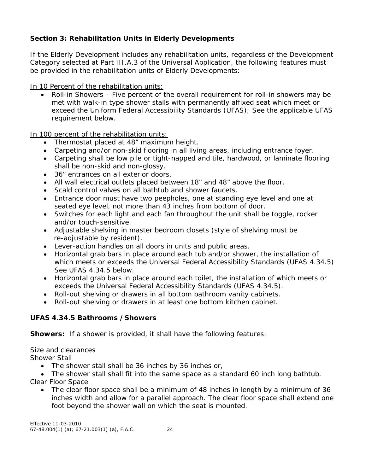# **Section 3: Rehabilitation Units in Elderly Developments**

If the Elderly Development includes any rehabilitation units, regardless of the Development Category selected at Part III.A.3 of the Universal Application, the following features must be provided in the rehabilitation units of Elderly Developments:

In 10 Percent of the rehabilitation units:

• Roll-in Showers – Five percent of the overall requirement for roll-in showers may be met with walk-in type shower stalls with permanently affixed seat which meet or exceed the Uniform Federal Accessibility Standards (UFAS); See the applicable UFAS requirement below.

In 100 percent of the rehabilitation units:

- Thermostat placed at 48" maximum height.
- Carpeting and/or non-skid flooring in all living areas, including entrance foyer.
- Carpeting shall be low pile or tight-napped and tile, hardwood, or laminate flooring shall be non-skid and non-glossy.
- 36" entrances on all exterior doors.
- All wall electrical outlets placed between 18" and 48" above the floor.
- Scald control valves on all bathtub and shower faucets.
- Entrance door must have two peepholes, one at standing eye level and one at seated eye level, not more than 43 inches from bottom of door.
- Switches for each light and each fan throughout the unit shall be toggle, rocker and/or touch-sensitive.
- Adjustable shelving in master bedroom closets (style of shelving must be re-adjustable by resident).
- Lever-action handles on all doors in units and public areas.
- Horizontal grab bars in place around each tub and/or shower, the installation of which meets or exceeds the Universal Federal Accessibility Standards (UFAS 4.34.5) See UFAS 4.34.5 below.
- Horizontal grab bars in place around each toilet, the installation of which meets or exceeds the Universal Federal Accessibility Standards (UFAS 4.34.5).
- Roll-out shelving or drawers in all bottom bathroom vanity cabinets.
- Roll-out shelving or drawers in at least one bottom kitchen cabinet.

#### **UFAS 4.34.5 Bathrooms /Showers**

**Showers:** If a shower is provided, it shall have the following features:

Size and clearances

Shower Stall

- The shower stall shall be 36 inches by 36 inches or,
- The shower stall shall fit into the same space as a standard 60 inch long bathtub.
- Clear Floor Space
	- The clear floor space shall be a minimum of 48 inches in length by a minimum of 36 inches width and allow for a parallel approach. The clear floor space shall extend one foot beyond the shower wall on which the seat is mounted.